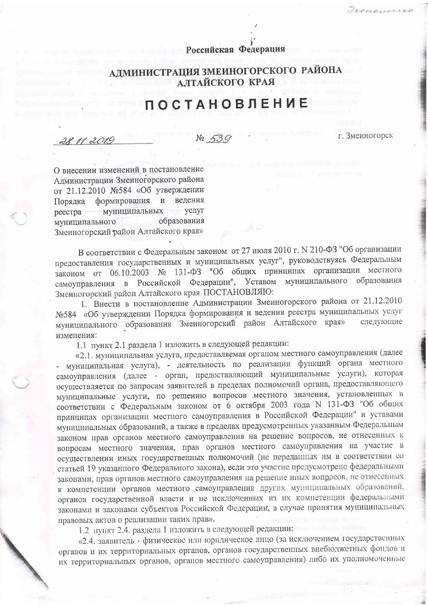## Российская Федерация

## АДМИНИСТРАЦИЯ ЗМЕИНОГОРСКОГО РАЙОНА АЛТАЙСКОГО КРАЯ

## **ПОСТАНОВЛЕНИЕ**

28 11.2019

 $\sqrt{2}$ 

г. Змеиногорск

О внесении изменений в постановление Администрации Змеиногорского района от 21.12.2010 №584 «Об утверждении Порядка формирования и ведения муниципальных **VCJIVT** реестра образования муниципального Змеиногорский район Алтайского края»

В соответствии с Федеральным законом от 27 июля 2010 г. № 210-ФЗ "Об организации предоставления государственных и муниципальных услуг", руководствуясь Федеральным законом от 06.10.2003 № 131-ФЗ "Об общих принципах организации местного самоуправления в Российской Федерации", Уставом муниципального образования Змеиногорский район Алтайского края ПОСТАНОВЛЯЮ:

1. Внести в постановление Администрации Змеиногорского района от 21.12.2010 Nº584 «Об утверждении Порядка формирования и ведения реестра муниципальных услуг муниципального образования Змеиногорский район Алтайского края» следующие изменения:

1.1 пункт 2.1 раздела 1 изложить в следующей редакции:

«2.1. муниципальная услуга, предоставляемая органом местного самоуправления (далее - муниципальная услуга), - деятельность по реализации функций органа местного самоуправления (далее - орган, предоставляющий муниципальные услуги), которая осуществляется по запросам заявителей в пределах полномочий органа, предоставляющего муниципальные услуги, по решению вопросов местного значения, установленных в соответствии с Федеральным законом от 6 октября 2003 года N 131-ФЗ "Об общих принципах организации местного самоуправления в Российской Федерации" и уставами муниципальных образований, а также в пределах предусмотренных указанным Федеральным законом прав органов местного самоуправления на решение вопросов, не отнесенных к вопросам местного значения, прав органов местного самоуправления на участие в осуществлении иных государственных полномочий (не переданных им в соответствии со статьей 19 указанного Федерального закона), если это участие предусмотрено федеральными законами, прав органов местного самоуправления на решение иных вопросов, не отнесенных к компетенции органов местного самоуправления других муниципальных образований, органов государственной власти и не исключенных из их компетенции федеральными законами и законами субъектов Российской Федерации, в случае принятия муниципальных правовых актов о реализации таких прав».

1.2 нункт 2.4. раздела 1 изложить в следующей редакции:

«2.4. заявитель - физическое или юридическое лицо (за исключением государственных органов и их территориальных органов, органов государственных внебюджетных фондов и их территориальных органов, органов местного самоуправления) либо их уполномоченные